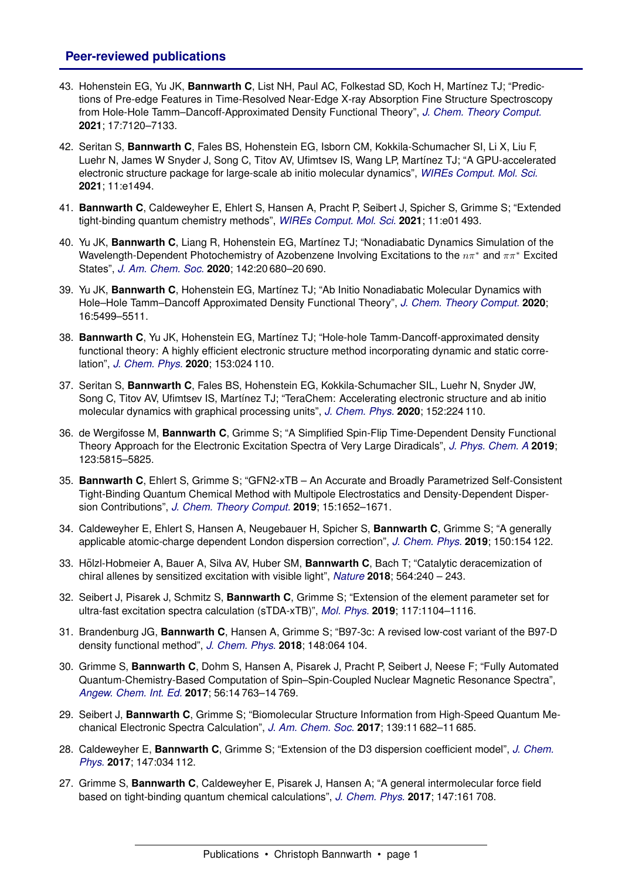## **Peer-reviewed publications**

- 43. Hohenstein EG, Yu JK, **Bannwarth C**, List NH, Paul AC, Folkestad SD, Koch H, Mart´ınez TJ; "Predictions of Pre-edge Features in Time-Resolved Near-Edge X-ray Absorption Fine Structure Spectroscopy from Hole-Hole Tamm–Dancoff-Approximated Density Functional Theory", *[J. Chem. Theory Comput.](http://dx.doi.org/10.1021/acs.jctc.1c00478)* **2021**; 17:7120–7133.
- 42. Seritan S, **Bannwarth C**, Fales BS, Hohenstein EG, Isborn CM, Kokkila-Schumacher SI, Li X, Liu F, Luehr N, James W Snyder J, Song C, Titov AV, Ufimtsev IS, Wang LP, Martínez TJ; "A GPU-accelerated electronic structure package for large-scale ab initio molecular dynamics", *[WIREs Comput. Mol. Sci.](http://dx.doi.org/10.1002/wcms.1494)* **2021**; 11:e1494.
- 41. **Bannwarth C**, Caldeweyher E, Ehlert S, Hansen A, Pracht P, Seibert J, Spicher S, Grimme S; "Extended tight-binding quantum chemistry methods", *[WIREs Comput. Mol. Sci.](http://dx.doi.org/10.1002/wcms.1493)* **2021**; 11:e01 493.
- 40. Yu JK, **Bannwarth C**, Liang R, Hohenstein EG, Martínez TJ; "Nonadiabatic Dynamics Simulation of the Wavelength-Dependent Photochemistry of Azobenzene Involving Excitations to the  $n\pi^*$  and  $\pi\pi^*$  Excited States", *[J. Am. Chem. Soc.](http://dx.doi.org/10.1021/jacs.0c09056)* **2020**; 142:20 680–20 690.
- 39. Yu JK, **Bannwarth C**, Hohenstein EG, Mart´ınez TJ; "Ab Initio Nonadiabatic Molecular Dynamics with Hole–Hole Tamm–Dancoff Approximated Density Functional Theory", *[J. Chem. Theory Comput.](http://dx.doi.org/10.1021/acs.jctc.0c00644)* **2020**; 16:5499–5511.
- 38. **Bannwarth C**, Yu JK, Hohenstein EG, Mart´ınez TJ; "Hole-hole Tamm-Dancoff-approximated density functional theory: A highly efficient electronic structure method incorporating dynamic and static correlation", *[J. Chem. Phys.](http://dx.doi.org/10.1063/5.0003985)* **2020**; 153:024 110.
- 37. Seritan S, **Bannwarth C**, Fales BS, Hohenstein EG, Kokkila-Schumacher SIL, Luehr N, Snyder JW, Song C, Titov AV, Ufimtsev IS, Martínez TJ; "TeraChem: Accelerating electronic structure and ab initio molecular dynamics with graphical processing units", *[J. Chem. Phys.](http://dx.doi.org/10.1063/5.0007615)* **2020**; 152:224 110.
- 36. de Wergifosse M, **Bannwarth C**, Grimme S; "A Simplified Spin-Flip Time-Dependent Density Functional Theory Approach for the Electronic Excitation Spectra of Very Large Diradicals", *[J. Phys. Chem. A](http://dx.doi.org/10.1021/acs.jpca.9b03176)* **2019**; 123:5815–5825.
- 35. **Bannwarth C**, Ehlert S, Grimme S; "GFN2-xTB An Accurate and Broadly Parametrized Self-Consistent Tight-Binding Quantum Chemical Method with Multipole Electrostatics and Density-Dependent Dispersion Contributions", *[J. Chem. Theory Comput.](http://dx.doi.org/10.1021/acs.jctc.8b01176)* **2019**; 15:1652–1671.
- 34. Caldeweyher E, Ehlert S, Hansen A, Neugebauer H, Spicher S, **Bannwarth C**, Grimme S; "A generally applicable atomic-charge dependent London dispersion correction", *[J. Chem. Phys.](http://dx.doi.org/10.1063/1.5090222)* **2019**; 150:154 122.
- 33. Hölzl-Hobmeier A, Bauer A, Silva AV, Huber SM, **Bannwarth C**, Bach T; "Catalytic deracemization of chiral allenes by sensitized excitation with visible light", *[Nature](http://dx.doi.org/10.1038/s41586-018-0755-1)* **2018**; 564:240 – 243.
- 32. Seibert J, Pisarek J, Schmitz S, **Bannwarth C**, Grimme S; "Extension of the element parameter set for ultra-fast excitation spectra calculation (sTDA-xTB)", *[Mol. Phys.](http://dx.doi.org/10.1080/00268976.2018.1510141)* **2019**; 117:1104–1116.
- 31. Brandenburg JG, **Bannwarth C**, Hansen A, Grimme S; "B97-3c: A revised low-cost variant of the B97-D density functional method", *[J. Chem. Phys.](http://dx.doi.org/10.1063/1.5012601)* **2018**; 148:064 104.
- 30. Grimme S, **Bannwarth C**, Dohm S, Hansen A, Pisarek J, Pracht P, Seibert J, Neese F; "Fully Automated Quantum-Chemistry-Based Computation of Spin–Spin-Coupled Nuclear Magnetic Resonance Spectra", *[Angew. Chem. Int. Ed.](http://dx.doi.org/10.1002/anie.201708266)* **2017**; 56:14 763–14 769.
- 29. Seibert J, **Bannwarth C**, Grimme S; "Biomolecular Structure Information from High-Speed Quantum Mechanical Electronic Spectra Calculation", *[J. Am. Chem. Soc.](http://dx.doi.org/10.1021/jacs.7b05833)* **2017**; 139:11 682–11 685.
- 28. Caldeweyher E, **Bannwarth C**, Grimme S; "Extension of the D3 dispersion coefficient model", *[J. Chem.](http://dx.doi.org/10.1063/1.4993215) [Phys.](http://dx.doi.org/10.1063/1.4993215)* **2017**; 147:034 112.
- 27. Grimme S, **Bannwarth C**, Caldeweyher E, Pisarek J, Hansen A; "A general intermolecular force field based on tight-binding quantum chemical calculations", *[J. Chem. Phys.](http://dx.doi.org/10.1063/1.4991798)* **2017**; 147:161 708.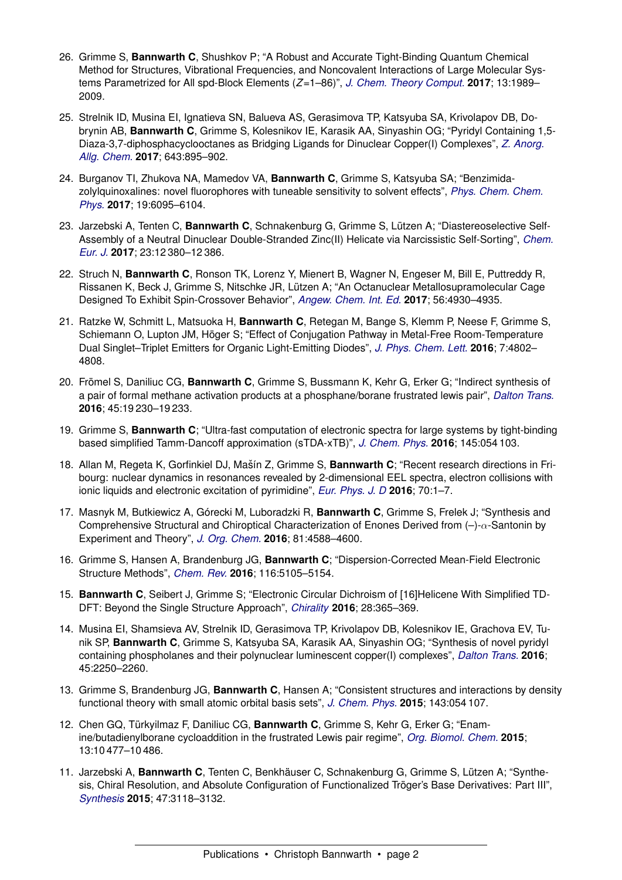- 26. Grimme S, **Bannwarth C**, Shushkov P; "A Robust and Accurate Tight-Binding Quantum Chemical Method for Structures, Vibrational Frequencies, and Noncovalent Interactions of Large Molecular Systems Parametrized for All spd-Block Elements (*Z*=1–86)", *[J. Chem. Theory Comput.](http://dx.doi.org/10.1021/acs.jctc.7b00118)* **2017**; 13:1989– 2009.
- 25. Strelnik ID, Musina EI, Ignatieva SN, Balueva AS, Gerasimova TP, Katsyuba SA, Krivolapov DB, Dobrynin AB, **Bannwarth C**, Grimme S, Kolesnikov IE, Karasik AA, Sinyashin OG; "Pyridyl Containing 1,5- Diaza-3,7-diphosphacyclooctanes as Bridging Ligands for Dinuclear Copper(I) Complexes", *[Z. Anorg.](http://dx.doi.org/10.1002/zaac.201700049) [Allg. Chem.](http://dx.doi.org/10.1002/zaac.201700049)* **2017**; 643:895–902.
- 24. Burganov TI, Zhukova NA, Mamedov VA, **Bannwarth C**, Grimme S, Katsyuba SA; "Benzimidazolylquinoxalines: novel fluorophores with tuneable sensitivity to solvent effects", *[Phys. Chem. Chem.](http://dx.doi.org/10.1039/C6CP06658E) [Phys.](http://dx.doi.org/10.1039/C6CP06658E)* **2017**; 19:6095–6104.
- 23. Jarzebski A, Tenten C, **Bannwarth C**, Schnakenburg G, Grimme S, Lutzen A; "Diastereoselective Self- ¨ Assembly of a Neutral Dinuclear Double-Stranded Zinc(II) Helicate via Narcissistic Self-Sorting", *[Chem.](http://dx.doi.org/10.1002/chem.201702125) [Eur. J.](http://dx.doi.org/10.1002/chem.201702125)* **2017**; 23:12 380–12 386.
- 22. Struch N, **Bannwarth C**, Ronson TK, Lorenz Y, Mienert B, Wagner N, Engeser M, Bill E, Puttreddy R, Rissanen K, Beck J, Grimme S, Nitschke JR, Lutzen A; "An Octanuclear Metallosupramolecular Cage ¨ Designed To Exhibit Spin-Crossover Behavior", *[Angew. Chem. Int. Ed.](http://dx.doi.org/10.1002/anie.201700832)* **2017**; 56:4930–4935.
- 21. Ratzke W, Schmitt L, Matsuoka H, **Bannwarth C**, Retegan M, Bange S, Klemm P, Neese F, Grimme S, Schiemann O, Lupton JM, Hoger S; "Effect of Conjugation Pathway in Metal-Free Room-Temperature ¨ Dual Singlet–Triplet Emitters for Organic Light-Emitting Diodes", *[J. Phys. Chem. Lett.](http://dx.doi.org/10.1021/acs.jpclett.6b01907)* **2016**; 7:4802– 4808.
- 20. Frömel S, Daniliuc CG, Bannwarth C, Grimme S, Bussmann K, Kehr G, Erker G; "Indirect synthesis of a pair of formal methane activation products at a phosphane/borane frustrated lewis pair", *[Dalton Trans.](http://dx.doi.org/10.1039/C6DT04206F)* **2016**; 45:19 230–19 233.
- 19. Grimme S, **Bannwarth C**; "Ultra-fast computation of electronic spectra for large systems by tight-binding based simplified Tamm-Dancoff approximation (sTDA-xTB)", *[J. Chem. Phys.](http://dx.doi.org/10.1063/1.4959605)* **2016**; 145:054 103.
- 18. Allan M, Regeta K, Gorfinkiel DJ, Mašín Z, Grimme S, Bannwarth C; "Recent research directions in Fribourg: nuclear dynamics in resonances revealed by 2-dimensional EEL spectra, electron collisions with ionic liquids and electronic excitation of pyrimidine", *[Eur. Phys. J. D](http://dx.doi.org/10.1140/epjd/e2016-70153-2)* **2016**; 70:1–7.
- 17. Masnyk M, Butkiewicz A, Górecki M, Luboradzki R, **Bannwarth C**, Grimme S, Frelek J; "Synthesis and Comprehensive Structural and Chiroptical Characterization of Enones Derived from  $(-)$ - $\alpha$ -Santonin by Experiment and Theory", *[J. Org. Chem.](http://dx.doi.org/10.1021/acs.joc.6b00416)* **2016**; 81:4588–4600.
- 16. Grimme S, Hansen A, Brandenburg JG, **Bannwarth C**; "Dispersion-Corrected Mean-Field Electronic Structure Methods", *[Chem. Rev.](http://dx.doi.org/10.1021/acs.chemrev.5b00533)* **2016**; 116:5105–5154.
- 15. **Bannwarth C**, Seibert J, Grimme S; "Electronic Circular Dichroism of [16]Helicene With Simplified TD-DFT: Beyond the Single Structure Approach", *[Chirality](http://dx.doi.org/10.1002/chir.22594)* **2016**; 28:365–369.
- 14. Musina EI, Shamsieva AV, Strelnik ID, Gerasimova TP, Krivolapov DB, Kolesnikov IE, Grachova EV, Tunik SP, **Bannwarth C**, Grimme S, Katsyuba SA, Karasik AA, Sinyashin OG; "Synthesis of novel pyridyl containing phospholanes and their polynuclear luminescent copper(I) complexes", *[Dalton Trans.](http://dx.doi.org/10.1039/C5DT03346B)* **2016**; 45:2250–2260.
- 13. Grimme S, Brandenburg JG, **Bannwarth C**, Hansen A; "Consistent structures and interactions by density functional theory with small atomic orbital basis sets", *[J. Chem. Phys.](http://dx.doi.org/10.1063/1.4927476)* **2015**; 143:054 107.
- 12. Chen GQ, Türkyilmaz F, Daniliuc CG, Bannwarth C, Grimme S, Kehr G, Erker G; "Enamine/butadienylborane cycloaddition in the frustrated Lewis pair regime", *[Org. Biomol. Chem.](http://dx.doi.org/10.1039/C5OB01602A)* **2015**; 13:10 477–10 486.
- 11. Jarzebski A, Bannwarth C, Tenten C, Benkhäuser C, Schnakenburg G, Grimme S, Lützen A; "Synthesis, Chiral Resolution, and Absolute Configuration of Functionalized Tröger's Base Derivatives: Part III", *[Synthesis](http://dx.doi.org/10.1055/s-0035-1560181)* **2015**; 47:3118–3132.